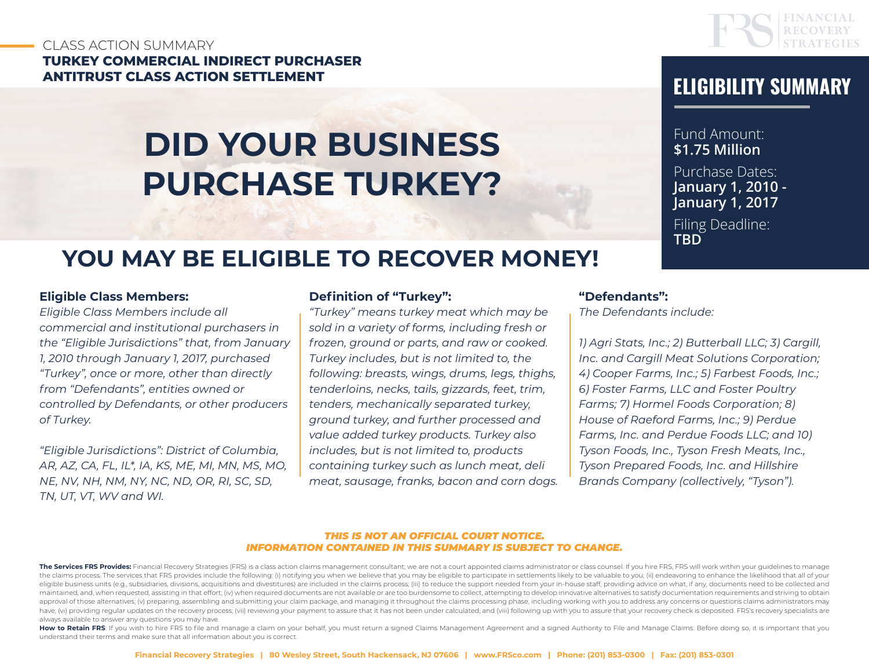### CLASS ACTION SUMMARY **TURKEY COMMERCIAL INDIRECT PURCHASER ANTITRUST CLASS ACTION SETTLEMENT ELIGIBILITY SUMMARY**

# **DID YOUR BUSINESS PURCHASE TURKEY?**



Fund Amount: **\$1.75 Million** Purchase Dates: **January 1, 2010 - January 1, 2017**

Filing Deadline: **TBD**

## **YOU MAY BE ELIGIBLE TO RECOVER MONEY!**

#### **Eligible Class Members:**

*Eligible Class Members include all commercial and institutional purchasers in the "Eligible Jurisdictions" that, from January 1, 2010 through January 1, 2017, purchased "Turkey", once or more, other than directly from "Defendants", entities owned or controlled by Defendants, or other producers of Turkey.* 

*"Eligible Jurisdictions": District of Columbia, AR, AZ, CA, FL, IL\*, IA, KS, ME, MI, MN, MS, MO, NE, NV, NH, NM, NY, NC, ND, OR, RI, SC, SD, TN, UT, VT, WV and WI.*

#### **Definition of "Turkey":**

*"Turkey" means turkey meat which may be sold in a variety of forms, including fresh or frozen, ground or parts, and raw or cooked. Turkey includes, but is not limited to, the following: breasts, wings, drums, legs, thighs, tenderloins, necks, tails, gizzards, feet, trim, tenders, mechanically separated turkey, ground turkey, and further processed and value added turkey products. Turkey also includes, but is not limited to, products containing turkey such as lunch meat, deli meat, sausage, franks, bacon and corn dogs.*

#### **"Defendants":**

*The Defendants include:* 

*1) Agri Stats, Inc.; 2) Butterball LLC; 3) Cargill, Inc. and Cargill Meat Solutions Corporation; 4) Cooper Farms, Inc.; 5) Farbest Foods, Inc.; 6) Foster Farms, LLC and Foster Poultry Farms; 7) Hormel Foods Corporation; 8) House of Raeford Farms, Inc.; 9) Perdue Farms, Inc. and Perdue Foods LLC; and 10) Tyson Foods, Inc., Tyson Fresh Meats, Inc., Tyson Prepared Foods, Inc. and Hillshire Brands Company (collectively, "Tyson").*

#### *THIS IS NOT AN OFFICIAL COURT NOTICE. INFORMATION CONTAINED IN THIS SUMMARY IS SUBJECT TO CHANGE.*

How to Retain FRS: If you wish to hire FRS to file and manage a claim on your behalf, you must return a signed Claims Management Agreement and a signed Authority to File and Manage Claims. Before doing so, it is important understand their terms and make sure that all information about you is correct.

The Services FRS Provides: Financial Recovery Strategies (FRS) is a class action claims management consultant; we are not a court appointed claims administrator or class counsel. If you hire FRS, FRS will work within your the claims process. The services that FRS provides include the following: (i) notifying you when we believe that you may be eligible to participate in settlements likely to be valuable to you; (ii) endeavoring to enhance t eligible business units (e.g., subsidiaries, divisions, acquisitions and divestitures) are included in the claims process; (iii) to reduce the support needed from your in-house staff, providing advice on what, if any, docu maintained, and, when requested, assisting in that effort; (iv) when required documents are not available or are too burdensome to collect, attempting to develop innovative alternatives to satisfy documentation requirement approval of those alternatives; (v) preparing, assembling and submitting your claim package, and managing it throughout the claims processing phase, including working with you to address any concerns or questions claims ad have; (vi) providing regular updates on the recovery process; (vii) reviewing your payment to assure that it has not been under calculated; and (viii) following up with you to assure that your recovery check is deposited. always available to answer any questions you may have.